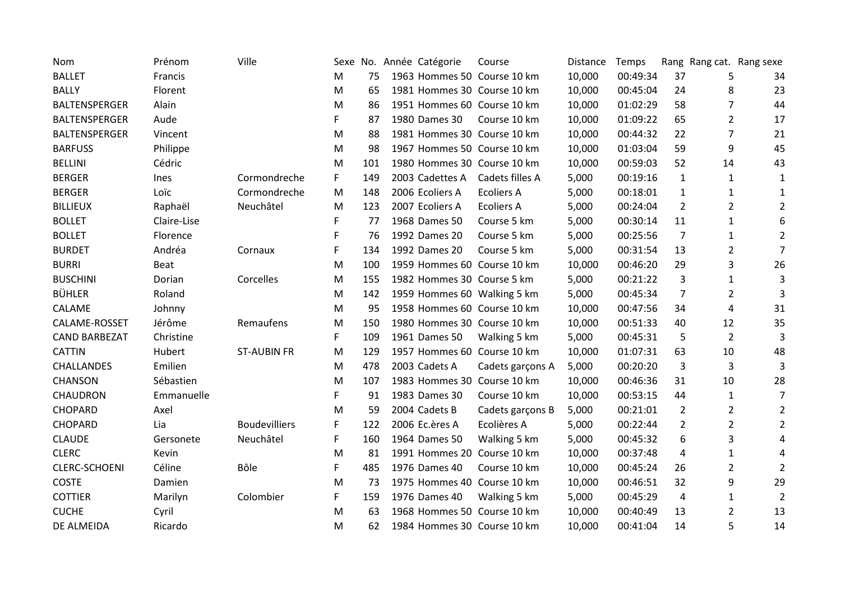| Nom                  | Prénom      | Ville                |    |     | Sexe No. Année Catégorie | Course                      | Distance | Temps    |                |                | Rang Rang cat. Rang sexe |
|----------------------|-------------|----------------------|----|-----|--------------------------|-----------------------------|----------|----------|----------------|----------------|--------------------------|
| <b>BALLET</b>        | Francis     |                      | M  | 75  |                          | 1963 Hommes 50 Course 10 km | 10,000   | 00:49:34 | 37             | 5              | 34                       |
| <b>BALLY</b>         | Florent     |                      | M  | 65  |                          | 1981 Hommes 30 Course 10 km | 10,000   | 00:45:04 | 24             | 8              | 23                       |
| <b>BALTENSPERGER</b> | Alain       |                      | M  | 86  |                          | 1951 Hommes 60 Course 10 km | 10,000   | 01:02:29 | 58             | 7              | 44                       |
| BALTENSPERGER        | Aude        |                      | F  | 87  | 1980 Dames 30            | Course 10 km                | 10,000   | 01:09:22 | 65             | 2              | 17                       |
| <b>BALTENSPERGER</b> | Vincent     |                      | M  | 88  |                          | 1981 Hommes 30 Course 10 km | 10,000   | 00:44:32 | 22             | 7              | 21                       |
| <b>BARFUSS</b>       | Philippe    |                      | M  | 98  |                          | 1967 Hommes 50 Course 10 km | 10,000   | 01:03:04 | 59             | 9              | 45                       |
| <b>BELLINI</b>       | Cédric      |                      | M  | 101 |                          | 1980 Hommes 30 Course 10 km | 10,000   | 00:59:03 | 52             | 14             | 43                       |
| <b>BERGER</b>        | Ines        | Cormondreche         | F. | 149 | 2003 Cadettes A          | Cadets filles A             | 5,000    | 00:19:16 | $\mathbf{1}$   | $\mathbf{1}$   | 1                        |
| <b>BERGER</b>        | Loïc        | Cormondreche         | M  | 148 | 2006 Ecoliers A          | <b>Ecoliers A</b>           | 5,000    | 00:18:01 | $\mathbf{1}$   | $\mathbf{1}$   | 1                        |
| <b>BILLIEUX</b>      | Raphaël     | Neuchâtel            | M  | 123 | 2007 Ecoliers A          | <b>Ecoliers A</b>           | 5,000    | 00:24:04 | $\overline{2}$ | $\overline{2}$ | $\overline{2}$           |
| <b>BOLLET</b>        | Claire-Lise |                      | F  | 77  | 1968 Dames 50            | Course 5 km                 | 5,000    | 00:30:14 | 11             | $\mathbf{1}$   | 6                        |
| <b>BOLLET</b>        | Florence    |                      | F  | 76  | 1992 Dames 20            | Course 5 km                 | 5,000    | 00:25:56 | 7              | 1              | $\overline{2}$           |
| <b>BURDET</b>        | Andréa      | Cornaux              | F  | 134 | 1992 Dames 20            | Course 5 km                 | 5,000    | 00:31:54 | 13             | $\overline{2}$ | $\overline{7}$           |
| <b>BURRI</b>         | <b>Beat</b> |                      | M  | 100 |                          | 1959 Hommes 60 Course 10 km | 10,000   | 00:46:20 | 29             | 3              | 26                       |
| <b>BUSCHINI</b>      | Dorian      | Corcelles            | M  | 155 |                          | 1982 Hommes 30 Course 5 km  | 5,000    | 00:21:22 | 3              | 1              | 3                        |
| <b>BÜHLER</b>        | Roland      |                      | M  | 142 |                          | 1959 Hommes 60 Walking 5 km | 5,000    | 00:45:34 | 7              | $\overline{2}$ | 3                        |
| CALAME               | Johnny      |                      | M  | 95  |                          | 1958 Hommes 60 Course 10 km | 10,000   | 00:47:56 | 34             | 4              | 31                       |
| CALAME-ROSSET        | Jérôme      | Remaufens            | M  | 150 |                          | 1980 Hommes 30 Course 10 km | 10,000   | 00:51:33 | 40             | 12             | 35                       |
| <b>CAND BARBEZAT</b> | Christine   |                      | F. | 109 | 1961 Dames 50            | Walking 5 km                | 5,000    | 00:45:31 | 5              | $\overline{2}$ | 3                        |
| <b>CATTIN</b>        | Hubert      | <b>ST-AUBIN FR</b>   | M  | 129 |                          | 1957 Hommes 60 Course 10 km | 10,000   | 01:07:31 | 63             | 10             | 48                       |
| <b>CHALLANDES</b>    | Emilien     |                      | M  | 478 | 2003 Cadets A            | Cadets garçons A            | 5,000    | 00:20:20 | 3              | 3              | 3                        |
| <b>CHANSON</b>       | Sébastien   |                      | M  | 107 |                          | 1983 Hommes 30 Course 10 km | 10,000   | 00:46:36 | 31             | 10             | 28                       |
| CHAUDRON             | Emmanuelle  |                      | F. | 91  | 1983 Dames 30            | Course 10 km                | 10,000   | 00:53:15 | 44             | 1              | $\overline{7}$           |
| <b>CHOPARD</b>       | Axel        |                      | M  | 59  | 2004 Cadets B            | Cadets garçons B            | 5,000    | 00:21:01 | $\overline{2}$ | $\overline{2}$ | $\overline{2}$           |
| <b>CHOPARD</b>       | Lia         | <b>Boudevilliers</b> | F  | 122 | 2006 Ec.ères A           | Ecolières A                 | 5,000    | 00:22:44 | $\overline{2}$ | $\overline{2}$ | $\overline{2}$           |
| <b>CLAUDE</b>        | Gersonete   | Neuchâtel            | F  | 160 | 1964 Dames 50            | Walking 5 km                | 5,000    | 00:45:32 | 6              | 3              | 4                        |
| <b>CLERC</b>         | Kevin       |                      | M  | 81  |                          | 1991 Hommes 20 Course 10 km | 10,000   | 00:37:48 | 4              | 1              | 4                        |
| CLERC-SCHOENI        | Céline      | Bôle                 | F  | 485 | 1976 Dames 40            | Course 10 km                | 10,000   | 00:45:24 | 26             | $\overline{2}$ | $\overline{2}$           |
| <b>COSTE</b>         | Damien      |                      | M  | 73  |                          | 1975 Hommes 40 Course 10 km | 10,000   | 00:46:51 | 32             | 9              | 29                       |
| <b>COTTIER</b>       | Marilyn     | Colombier            | F  | 159 | 1976 Dames 40            | Walking 5 km                | 5,000    | 00:45:29 | 4              | $\mathbf{1}$   | $\overline{2}$           |
| <b>CUCHE</b>         | Cyril       |                      | M  | 63  |                          | 1968 Hommes 50 Course 10 km | 10,000   | 00:40:49 | 13             | 2              | 13                       |
| DE ALMEIDA           | Ricardo     |                      | M  | 62  |                          | 1984 Hommes 30 Course 10 km | 10,000   | 00:41:04 | 14             | 5              | 14                       |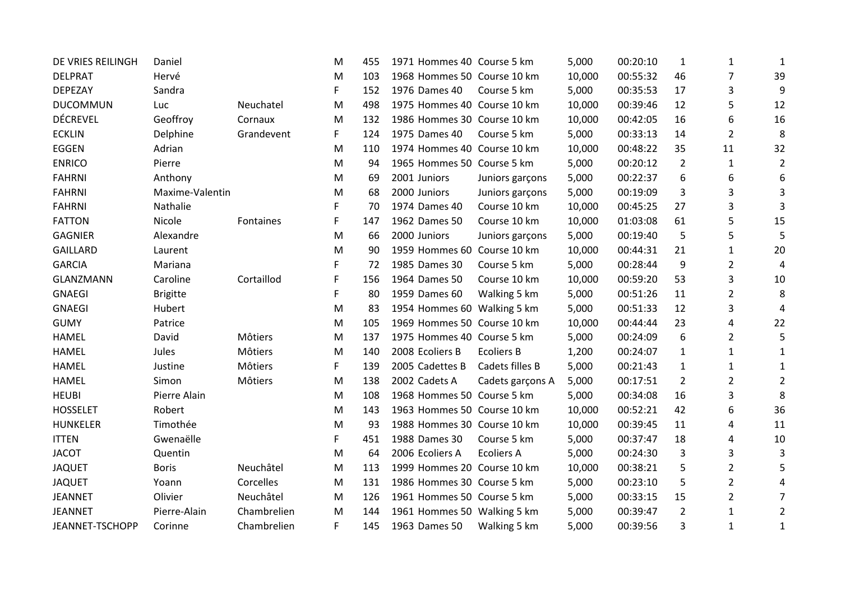| DE VRIES REILINGH | Daniel          |             | M | 455 | 1971 Hommes 40 Course 5 km  |                   | 5,000  | 00:20:10 | 1              | 1              | 1              |
|-------------------|-----------------|-------------|---|-----|-----------------------------|-------------------|--------|----------|----------------|----------------|----------------|
| <b>DELPRAT</b>    | Hervé           |             | M | 103 | 1968 Hommes 50 Course 10 km |                   | 10,000 | 00:55:32 | 46             | 7              | 39             |
| DEPEZAY           | Sandra          |             | F | 152 | 1976 Dames 40               | Course 5 km       | 5,000  | 00:35:53 | 17             | 3              | 9              |
| <b>DUCOMMUN</b>   | Luc             | Neuchatel   | M | 498 | 1975 Hommes 40 Course 10 km |                   | 10,000 | 00:39:46 | 12             | 5              | 12             |
| <b>DÉCREVEL</b>   | Geoffroy        | Cornaux     | M | 132 | 1986 Hommes 30 Course 10 km |                   | 10,000 | 00:42:05 | 16             | 6              | 16             |
| <b>ECKLIN</b>     | Delphine        | Grandevent  | F | 124 | 1975 Dames 40               | Course 5 km       | 5,000  | 00:33:13 | 14             | 2              | 8              |
| <b>EGGEN</b>      | Adrian          |             | M | 110 | 1974 Hommes 40 Course 10 km |                   | 10,000 | 00:48:22 | 35             | 11             | 32             |
| <b>ENRICO</b>     | Pierre          |             | M | 94  | 1965 Hommes 50 Course 5 km  |                   | 5,000  | 00:20:12 | $\overline{2}$ | 1              | $\overline{2}$ |
| <b>FAHRNI</b>     | Anthony         |             | M | 69  | 2001 Juniors                | Juniors garçons   | 5,000  | 00:22:37 | 6              | 6              | 6              |
| <b>FAHRNI</b>     | Maxime-Valentin |             | M | 68  | 2000 Juniors                | Juniors garçons   | 5,000  | 00:19:09 | 3              | 3              | 3              |
| <b>FAHRNI</b>     | Nathalie        |             | F | 70  | 1974 Dames 40               | Course 10 km      | 10,000 | 00:45:25 | 27             | 3              | 3              |
| <b>FATTON</b>     | Nicole          | Fontaines   | F | 147 | 1962 Dames 50               | Course 10 km      | 10,000 | 01:03:08 | 61             | 5              | 15             |
| <b>GAGNIER</b>    | Alexandre       |             | M | 66  | 2000 Juniors                | Juniors garçons   | 5,000  | 00:19:40 | 5              | 5              | 5              |
| <b>GAILLARD</b>   | Laurent         |             | M | 90  | 1959 Hommes 60 Course 10 km |                   | 10,000 | 00:44:31 | 21             | $\mathbf{1}$   | 20             |
| <b>GARCIA</b>     | Mariana         |             | F | 72  | 1985 Dames 30               | Course 5 km       | 5,000  | 00:28:44 | 9              | $\overline{2}$ | 4              |
| GLANZMANN         | Caroline        | Cortaillod  | F | 156 | 1964 Dames 50               | Course 10 km      | 10,000 | 00:59:20 | 53             | 3              | 10             |
| <b>GNAEGI</b>     | <b>Brigitte</b> |             | F | 80  | 1959 Dames 60               | Walking 5 km      | 5,000  | 00:51:26 | 11             | $\overline{2}$ | 8              |
| <b>GNAEGI</b>     | Hubert          |             | M | 83  | 1954 Hommes 60 Walking 5 km |                   | 5,000  | 00:51:33 | 12             | 3              | 4              |
| <b>GUMY</b>       | Patrice         |             | M | 105 | 1969 Hommes 50 Course 10 km |                   | 10,000 | 00:44:44 | 23             | 4              | 22             |
| <b>HAMEL</b>      | David           | Môtiers     | M | 137 | 1975 Hommes 40 Course 5 km  |                   | 5,000  | 00:24:09 | 6              | $\overline{2}$ | 5              |
| <b>HAMEL</b>      | Jules           | Môtiers     | M | 140 | 2008 Ecoliers B             | <b>Ecoliers B</b> | 1,200  | 00:24:07 | $\mathbf{1}$   | 1              | 1              |
| <b>HAMEL</b>      | Justine         | Môtiers     | F | 139 | 2005 Cadettes B             | Cadets filles B   | 5,000  | 00:21:43 | $\mathbf{1}$   | $\mathbf{1}$   | 1              |
| <b>HAMEL</b>      | Simon           | Môtiers     | M | 138 | 2002 Cadets A               | Cadets garçons A  | 5,000  | 00:17:51 | $\overline{2}$ | $\overline{2}$ | $\overline{2}$ |
| <b>HEUBI</b>      | Pierre Alain    |             | M | 108 | 1968 Hommes 50 Course 5 km  |                   | 5,000  | 00:34:08 | 16             | 3              | 8              |
| <b>HOSSELET</b>   | Robert          |             | M | 143 | 1963 Hommes 50 Course 10 km |                   | 10,000 | 00:52:21 | 42             | 6              | 36             |
| <b>HUNKELER</b>   | Timothée        |             | M | 93  | 1988 Hommes 30 Course 10 km |                   | 10,000 | 00:39:45 | 11             | 4              | 11             |
| <b>ITTEN</b>      | Gwenaëlle       |             | F | 451 | 1988 Dames 30               | Course 5 km       | 5,000  | 00:37:47 | 18             | 4              | 10             |
| <b>JACOT</b>      | Quentin         |             | M | 64  | 2006 Ecoliers A             | <b>Ecoliers A</b> | 5,000  | 00:24:30 | 3              | 3              | 3              |
| <b>JAQUET</b>     | <b>Boris</b>    | Neuchâtel   | М | 113 | 1999 Hommes 20 Course 10 km |                   | 10,000 | 00:38:21 | 5              | $\overline{2}$ | 5              |
| <b>JAQUET</b>     | Yoann           | Corcelles   | M | 131 | 1986 Hommes 30 Course 5 km  |                   | 5,000  | 00:23:10 | 5              | $\overline{2}$ | 4              |
| <b>JEANNET</b>    | Olivier         | Neuchâtel   | M | 126 | 1961 Hommes 50 Course 5 km  |                   | 5,000  | 00:33:15 | 15             | $\overline{2}$ | $\overline{7}$ |
| <b>JEANNET</b>    | Pierre-Alain    | Chambrelien | M | 144 | 1961 Hommes 50 Walking 5 km |                   | 5,000  | 00:39:47 | $\overline{2}$ | 1              | $\overline{2}$ |
| JEANNET-TSCHOPP   | Corinne         | Chambrelien | F | 145 | 1963 Dames 50               | Walking 5 km      | 5,000  | 00:39:56 | 3              | $\mathbf{1}$   | $\mathbf{1}$   |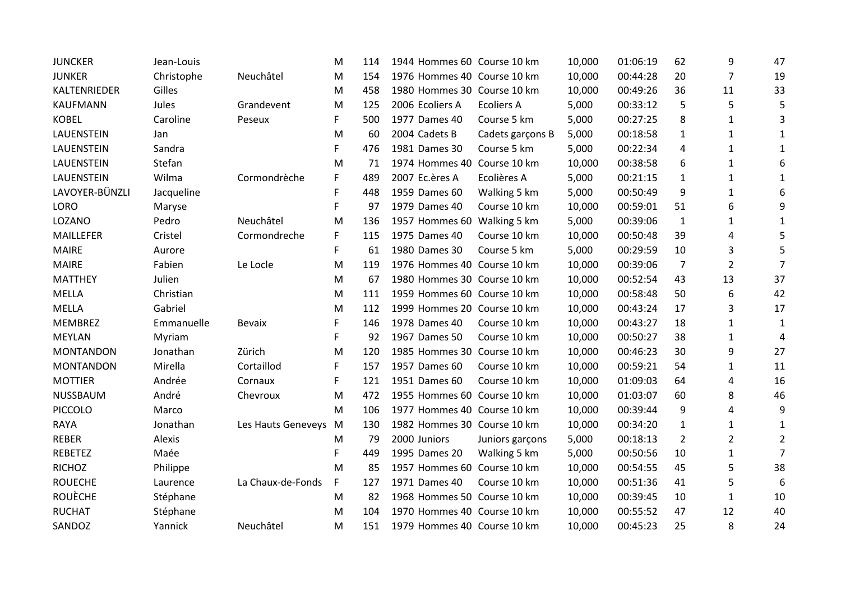| <b>JUNCKER</b>    | Jean-Louis |                    | M  | 114 | 1944 Hommes 60 Course 10 km |                   | 10,000 | 01:06:19 | 62             | 9              | 47             |
|-------------------|------------|--------------------|----|-----|-----------------------------|-------------------|--------|----------|----------------|----------------|----------------|
| <b>JUNKER</b>     | Christophe | Neuchâtel          | M  | 154 | 1976 Hommes 40 Course 10 km |                   | 10,000 | 00:44:28 | 20             | $\overline{7}$ | 19             |
| KALTENRIEDER      | Gilles     |                    | M  | 458 | 1980 Hommes 30 Course 10 km |                   | 10,000 | 00:49:26 | 36             | 11             | 33             |
| <b>KAUFMANN</b>   | Jules      | Grandevent         | M  | 125 | 2006 Ecoliers A             | <b>Ecoliers A</b> | 5,000  | 00:33:12 | 5              | 5              | 5              |
| <b>KOBEL</b>      | Caroline   | Peseux             | F. | 500 | 1977 Dames 40               | Course 5 km       | 5,000  | 00:27:25 | 8              | $\mathbf{1}$   | 3              |
| <b>LAUENSTEIN</b> | Jan        |                    | M  | 60  | 2004 Cadets B               | Cadets garçons B  | 5,000  | 00:18:58 | $\mathbf{1}$   | 1              | 1              |
| <b>LAUENSTEIN</b> | Sandra     |                    | F  | 476 | 1981 Dames 30               | Course 5 km       | 5,000  | 00:22:34 | 4              | $\mathbf{1}$   | $\mathbf{1}$   |
| LAUENSTEIN        | Stefan     |                    | M  | 71  | 1974 Hommes 40 Course 10 km |                   | 10,000 | 00:38:58 | 6              | $\mathbf{1}$   | 6              |
| LAUENSTEIN        | Wilma      | Cormondrèche       | F  | 489 | 2007 Ec.ères A              | Ecolières A       | 5,000  | 00:21:15 | $\mathbf{1}$   | $\mathbf{1}$   | $\mathbf{1}$   |
| LAVOYER-BÜNZLI    | Jacqueline |                    | F  | 448 | 1959 Dames 60               | Walking 5 km      | 5,000  | 00:50:49 | 9              | $\mathbf{1}$   | 6              |
| <b>LORO</b>       | Maryse     |                    | F  | 97  | 1979 Dames 40               | Course 10 km      | 10,000 | 00:59:01 | 51             | 6              | 9              |
| LOZANO            | Pedro      | Neuchâtel          | M  | 136 | 1957 Hommes 60 Walking 5 km |                   | 5,000  | 00:39:06 | $\mathbf{1}$   | $\mathbf{1}$   | 1              |
| <b>MAILLEFER</b>  | Cristel    | Cormondreche       | F. | 115 | 1975 Dames 40               | Course 10 km      | 10,000 | 00:50:48 | 39             | 4              | 5              |
| <b>MAIRE</b>      | Aurore     |                    | F  | 61  | 1980 Dames 30               | Course 5 km       | 5,000  | 00:29:59 | 10             | 3              | 5              |
| <b>MAIRE</b>      | Fabien     | Le Locle           | M  | 119 | 1976 Hommes 40 Course 10 km |                   | 10,000 | 00:39:06 | $\overline{7}$ | $\overline{2}$ | $\overline{7}$ |
| <b>MATTHEY</b>    | Julien     |                    | M  | 67  | 1980 Hommes 30 Course 10 km |                   | 10,000 | 00:52:54 | 43             | 13             | 37             |
| <b>MELLA</b>      | Christian  |                    | M  | 111 | 1959 Hommes 60 Course 10 km |                   | 10,000 | 00:58:48 | 50             | 6              | 42             |
| <b>MELLA</b>      | Gabriel    |                    | M  | 112 | 1999 Hommes 20 Course 10 km |                   | 10,000 | 00:43:24 | 17             | 3              | 17             |
| <b>MEMBREZ</b>    | Emmanuelle | <b>Bevaix</b>      | F. | 146 | 1978 Dames 40               | Course 10 km      | 10,000 | 00:43:27 | 18             | $\mathbf{1}$   | 1              |
| <b>MEYLAN</b>     | Myriam     |                    | F  | 92  | 1967 Dames 50               | Course 10 km      | 10,000 | 00:50:27 | 38             | $\mathbf{1}$   | 4              |
| <b>MONTANDON</b>  | Jonathan   | Zürich             | M  | 120 | 1985 Hommes 30 Course 10 km |                   | 10,000 | 00:46:23 | 30             | 9              | 27             |
| <b>MONTANDON</b>  | Mirella    | Cortaillod         | F  | 157 | 1957 Dames 60               | Course 10 km      | 10,000 | 00:59:21 | 54             | $\mathbf{1}$   | 11             |
| <b>MOTTIER</b>    | Andrée     | Cornaux            | F  | 121 | 1951 Dames 60               | Course 10 km      | 10,000 | 01:09:03 | 64             | 4              | 16             |
| NUSSBAUM          | André      | Chevroux           | M  | 472 | 1955 Hommes 60 Course 10 km |                   | 10,000 | 01:03:07 | 60             | 8              | 46             |
| <b>PICCOLO</b>    | Marco      |                    | M  | 106 | 1977 Hommes 40 Course 10 km |                   | 10,000 | 00:39:44 | 9              | 4              | 9              |
| <b>RAYA</b>       | Jonathan   | Les Hauts Geneveys | M  | 130 | 1982 Hommes 30 Course 10 km |                   | 10,000 | 00:34:20 | 1              | $\mathbf{1}$   | 1              |
| <b>REBER</b>      | Alexis     |                    | М  | 79  | 2000 Juniors                | Juniors garçons   | 5,000  | 00:18:13 | $\overline{2}$ | $\overline{2}$ | $\overline{2}$ |
| <b>REBETEZ</b>    | Maée       |                    | F  | 449 | 1995 Dames 20               | Walking 5 km      | 5,000  | 00:50:56 | 10             | 1              | $\overline{7}$ |
| <b>RICHOZ</b>     | Philippe   |                    | м  | 85  | 1957 Hommes 60 Course 10 km |                   | 10,000 | 00:54:55 | 45             | 5              | 38             |
| <b>ROUECHE</b>    | Laurence   | La Chaux-de-Fonds  | F. | 127 | 1971 Dames 40               | Course 10 km      | 10,000 | 00:51:36 | 41             | 5              | 6              |
| <b>ROUÈCHE</b>    | Stéphane   |                    | M  | 82  | 1968 Hommes 50 Course 10 km |                   | 10,000 | 00:39:45 | 10             | $\mathbf{1}$   | 10             |
| <b>RUCHAT</b>     | Stéphane   |                    | M  | 104 | 1970 Hommes 40 Course 10 km |                   | 10,000 | 00:55:52 | 47             | 12             | 40             |
| SANDOZ            | Yannick    | Neuchâtel          | M  | 151 | 1979 Hommes 40 Course 10 km |                   | 10,000 | 00:45:23 | 25             | 8              | 24             |